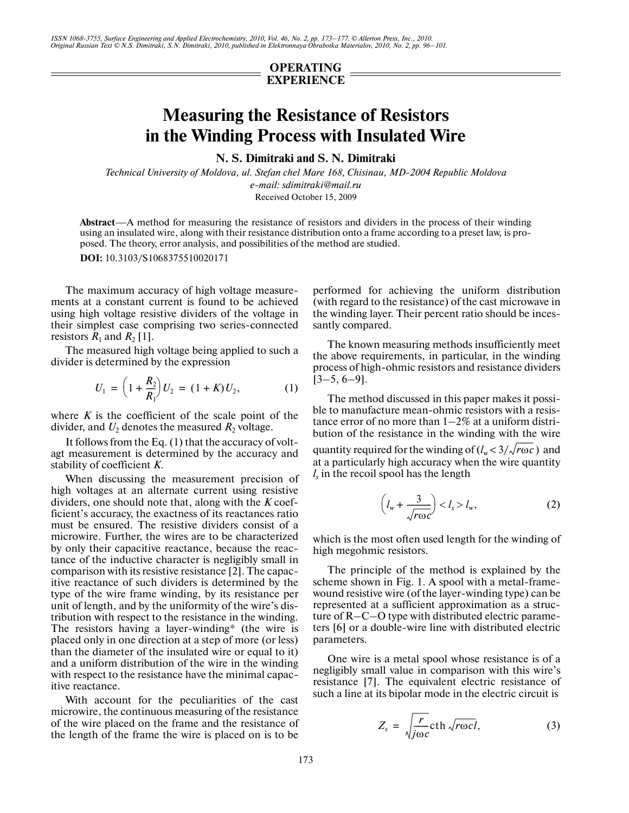*ISSN 1068-3755, Surface Engineering and Applied Electrochemistry, 2010, Vol. 46, No. 2, pp. 173–177. © Allerton Press, Inc., 2010. Original Russian Text © N.S. Dimitraki, S.N. Dimitraki, 2010, published in Elektronnaya Obrabotka Materialov, 2010, No. 2, pp. 96–101.*

## **OPERATING EXPERIENCE**

## **Measuring the Resistance of Resistors in the Winding Process with Insulated Wire**

**N. S. Dimitraki and S. N. Dimitraki**

*Technical University of Moldova, ul. Stefan chel Mare 168, Chisinau, MD-2004 Republic Moldova e-mail: sdimitraki@mail.ru* Received October 15, 2009

**Abstract**—A method for measuring the resistance of resistors and dividers in the process of their winding using an insulated wire, along with their resistance distribution onto a frame according to a preset law, is pro posed. The theory, error analysis, and possibilities of the method are studied.

**DOI:** 10.3103/S1068375510020171

The maximum accuracy of high voltage measure ments at a constant current is found to be achieved using high voltage resistive dividers of the voltage in their simplest case comprising two series-connected resistors  $R_1$  and  $R_2$  [1].

The measured high voltage being applied to such a divider is determined by the expression

$$
U_1 = \left(1 + \frac{R_2}{R_1}\right)U_2 = (1 + K)U_2, \tag{1}
$$

where  $K$  is the coefficient of the scale point of the divider, and  $U_2$  denotes the measured  $R_2$  voltage.

It follows from the Eq. (1) that the accuracy of volt agt measurement is determined by the accuracy and stability of coefficient *K*.

When discussing the measurement precision of high voltages at an alternate current using resistive dividers, one should note that, along with the *K* coef ficient's accuracy, the exactness of its reactances ratio must be ensured. The resistive dividers consist of a microwire. Further, the wires are to be characterized by only their capacitive reactance, because the reac tance of the inductive character is negligibly small in comparison with its resistive resistance [2]. The capac itive reactance of such dividers is determined by the type of the wire frame winding, by its resistance per unit of length, and by the uniformity of the wire's dis tribution with respect to the resistance in the winding. The resistors having a layer-winding\* (the wire is placed only in one direction at a step of more (or less) than the diameter of the insulated wire or equal to it) and a uniform distribution of the wire in the winding with respect to the resistance have the minimal capac itive reactance.

With account for the peculiarities of the cast microwire, the continuous measuring of the resistance of the wire placed on the frame and the resistance of the length of the frame the wire is placed on is to be

performed for achieving the uniform distribution (with regard to the resistance) of the cast microwave in the winding layer. Their percent ratio should be inces santly compared.

The known measuring methods insufficiently meet the above requirements, in particular, in the winding process of high-ohmic resistors and resistance dividers  $[3-5, 6-9]$ .

The method discussed in this paper makes it possi ble to manufacture mean-ohmic resistors with a resis tance error of no more than 1–2% at a uniform distri bution of the resistance in the winding with the wire

quantity required for the winding of  $(l_w < 3/\sqrt{r \omega c})$  and at a particularly high accuracy when the wire quantity *l<sub>s</sub>* in the recoil spool has the length

$$
\left(l_w + \frac{3}{\sqrt{r\omega c}}\right) < l_s > l_w,\tag{2}
$$

which is the most often used length for the winding of high megohmic resistors.

The principle of the method is explained by the scheme shown in Fig. 1. A spool with a metal-frame wound resistive wire (of the layer-winding type) can be represented at a sufficient approximation as a struc ture of R–C–O type with distributed electric parame ters [6] or a double-wire line with distributed electric parameters.

One wire is a metal spool whose resistance is of a negligibly small value in comparison with this wire's resistance [7]. The equivalent electric resistance of such a line at its bipolar mode in the electric circuit is

$$
Z_s = \sqrt{\frac{r}{j\omega c}} \text{cth} \sqrt{r\omega c l}, \qquad (3)
$$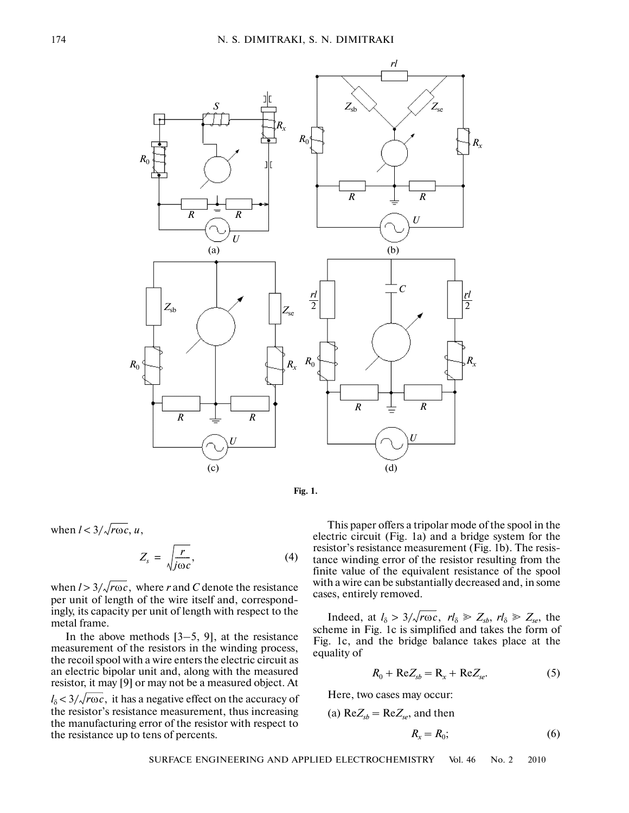



when  $l < 3/\sqrt{r\omega c}$ , u,

$$
Z_s = \sqrt{\frac{r}{j\omega c}}, \tag{4}
$$

when  $l > 3/\sqrt{r\omega c}$ , where *r* and *C* denote the resistance per unit of length of the wire itself and, correspond ingly, its capacity per unit of length with respect to the metal frame.

In the above methods  $[3-5, 9]$ , at the resistance measurement of the resistors in the winding process, the recoil spool with a wire enters the electric circuit as an electric bipolar unit and, along with the measured resistor, it may [9] or may not be a measured object. At

 $l_{\delta}$  < 3/ $\sqrt{r \omega c}$ , it has a negative effect on the accuracy of the resistor's resistance measurement, thus increasing the manufacturing error of the resistor with respect to the resistance up to tens of percents.

This paper offers a tripolar mode of the spool in the electric circuit (Fig. 1a) and a bridge system for the resistor's resistance measurement (Fig. 1b). The resis tance winding error of the resistor resulting from the finite value of the equivalent resistance of the spool with a wire can be substantially decreased and, in some cases, entirely removed.

Indeed, at  $l_{\delta} > 3/\sqrt{r \omega c}$ ,  $r l_{\delta} \ge Z_{sb}$ ,  $r l_{\delta} \ge Z_{se}$ , the scheme in Fig. 1c is simplified and takes the form of Fig. 1c, and the bridge balance takes place at the equality of

$$
R_0 + \text{Re}Z_{sb} = \text{R}_x + \text{Re}Z_{se}.
$$
 (5)

Here, two cases may occur:

(a) 
$$
\text{Re}Z_{sb} = \text{Re}Z_{se}
$$
, and then

$$
R_{x} = R_{0}; \tag{6}
$$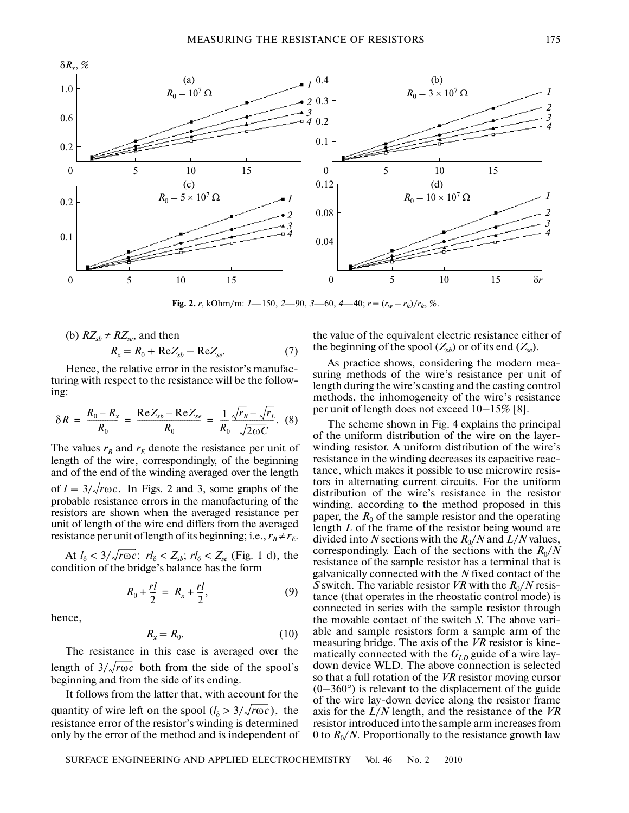

**Fig. 2.** *r*, kOhm/m:  $1 - 150$ ,  $2 - 90$ ,  $3 - 60$ ,  $4 - 40$ ;  $r = (r_w - r_k)/r_k$ , %.

(b) 
$$
RZ_{sb} \neq RZ_{se}
$$
, and then  
 $R_x = R_0 + \text{Re}Z_{sb} - \text{Re}Z_{se}$ . (7)

Hence, the relative error in the resistor's manufac turing with respect to the resistance will be the follow ing:

$$
\delta R = \frac{R_0 - R_x}{R_0} = \frac{\text{Re} Z_{sb} - \text{Re} Z_{se}}{R_0} = \frac{1}{R_0} \frac{\sqrt{r_B} - \sqrt{r_E}}{\sqrt{2\omega C}}. (8)
$$

The values  $r_B$  and  $r_E$  denote the resistance per unit of length of the wire, correspondingly, of the beginning and of the end of the winding averaged over the length of  $l = 3/\sqrt{r\omega c}$ . In Figs. 2 and 3, some graphs of the probable resistance errors in the manufacturing of the resistors are shown when the averaged resistance per unit of length of the wire end differs from the averaged resistance per unit of length of its beginning; i.e.,  $r_B \neq r_E$ .

At  $l_{\delta} < 3/\sqrt{r\omega c}$ ;  $rl_{\delta} < Z_{sb}$ ;  $rl_{\delta} < Z_{se}$  (Fig. 1 d), the condition of the bridge's balance has the form

$$
R_0 + \frac{rl}{2} = R_x + \frac{rl}{2},
$$
 (9)

hence,

$$
R_x = R_0. \tag{10}
$$

The resistance in this case is averaged over the length of  $3/\sqrt{r\omega c}$  both from the side of the spool's beginning and from the side of its ending.

It follows from the latter that, with account for the quantity of wire left on the spool  $(l_{\delta} > 3/\sqrt{r\omega c})$ , the resistance error of the resistor's winding is determined only by the error of the method and is independent of the value of the equivalent electric resistance either of the beginning of the spool  $(Z_{sb})$  or of its end  $(Z_{se})$ .

As practice shows, considering the modern mea suring methods of the wire's resistance per unit of length during the wire's casting and the casting control methods, the inhomogeneity of the wire's resistance per unit of length does not exceed 10–15% [8].

The scheme shown in Fig. 4 explains the principal of the uniform distribution of the wire on the layer winding resistor. A uniform distribution of the wire's resistance in the winding decreases its capacitive reac tance, which makes it possible to use microwire resis tors in alternating current circuits. For the uniform distribution of the wire's resistance in the resistor winding, according to the method proposed in this paper, the  $R_0$  of the sample resistor and the operating length *L* of the frame of the resistor being wound are divided into *N* sections with the  $R_0/N$  and  $L/N$  values, correspondingly. Each of the sections with the  $R_0/N$ resistance of the sample resistor has a terminal that is galvanically connected with the *N* fixed contact of the *S* switch. The variable resistor *VR* with the  $R_0/N$  resistance (that operates in the rheostatic control mode) is connected in series with the sample resistor through the movable contact of the switch *S*. The above vari able and sample resistors form a sample arm of the measuring bridge. The axis of the *VR* resistor is kine matically connected with the  $G_{LD}$  guide of a wire laydown device WLD. The above connection is selected so that a full rotation of the *VR* resistor moving cursor  $(0-360)$ <sup>o</sup>) is relevant to the displacement of the guide of the wire lay-down device along the resistor frame axis for the *L*/*N* length, and the resistance of the *VR* resistor introduced into the sample arm increases from 0 to  $R_0/N$ . Proportionally to the resistance growth law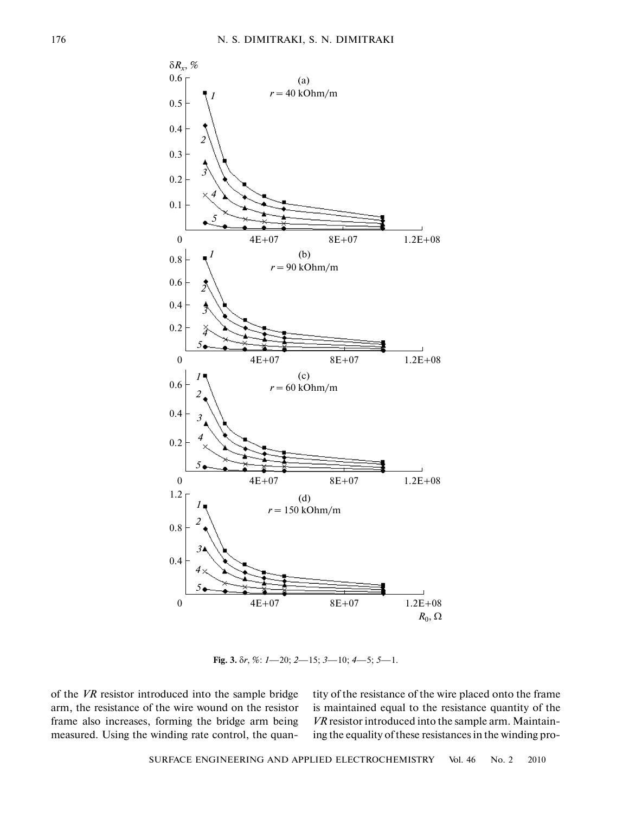

**Fig. 3.** δ*r*, %: *1*—20; *2*—15; *3*—10; *4*—5; *5*—1.

of the *VR* resistor introduced into the sample bridge arm, the resistance of the wire wound on the resistor frame also increases, forming the bridge arm being measured. Using the winding rate control, the quantity of the resistance of the wire placed onto the frame is maintained equal to the resistance quantity of the *VR* resistor introduced into the sample arm. Maintain ing the equality of these resistances in the winding pro-